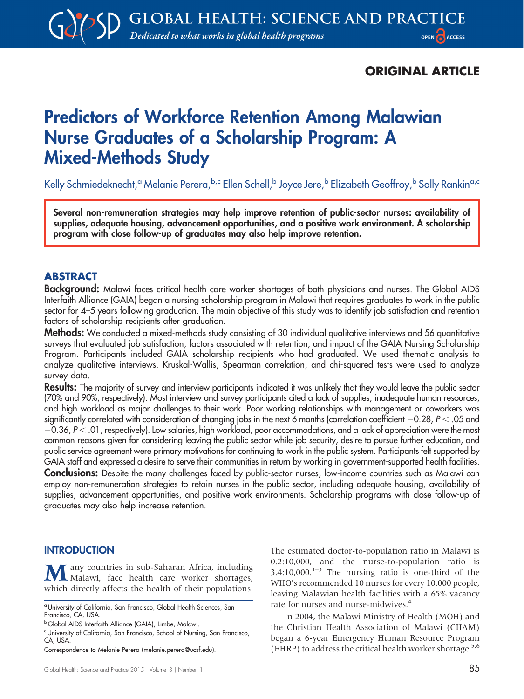## ORIGINAL ARTICLE

# Predictors of Workforce Retention Among Malawian Nurse Graduates of a Scholarship Program: A Mixed-Methods Study

Kelly Schmiedeknecht,<sup>a</sup> Melanie Perera,<sup>b,c</sup> Ellen Schell,<sup>b</sup> Joyce Jere,<sup>b</sup> Elizabeth Geoffroy,<sup>b</sup> Sally Rankin<sup>a,c</sup>

Several non-remuneration strategies may help improve retention of public-sector nurses: availability of supplies, adequate housing, advancement opportunities, and a positive work environment. A scholarship program with close follow-up of graduates may also help improve retention.

## ABSTRACT

Background: Malawi faces critical health care worker shortages of both physicians and nurses. The Global AIDS Interfaith Alliance (GAIA) began a nursing scholarship program in Malawi that requires graduates to work in the public sector for 4–5 years following graduation. The main objective of this study was to identify job satisfaction and retention factors of scholarship recipients after graduation.

Methods: We conducted a mixed-methods study consisting of 30 individual qualitative interviews and 56 quantitative surveys that evaluated job satisfaction, factors associated with retention, and impact of the GAIA Nursing Scholarship Program. Participants included GAIA scholarship recipients who had graduated. We used thematic analysis to analyze qualitative interviews. Kruskal-Wallis, Spearman correlation, and chi-squared tests were used to analyze survey data.

Results: The majority of survey and interview participants indicated it was unlikely that they would leave the public sector (70% and 90%, respectively). Most interview and survey participants cited a lack of supplies, inadequate human resources, and high workload as major challenges to their work. Poor working relationships with management or coworkers was significantly correlated with consideration of changing jobs in the next 6 months (correlation coefficient  $-0.28$ ,  $P < .05$  and  $-0.36$ ,  $P < .01$ , respectively). Low salaries, high workload, poor accommodations, and a lack of appreciation were the most common reasons given for considering leaving the public sector while job security, desire to pursue further education, and public service agreement were primary motivations for continuing to work in the public system. Participants felt supported by GAIA staff and expressed a desire to serve their communities in return by working in government-supported health facilities. Conclusions: Despite the many challenges faced by public-sector nurses, low-income countries such as Malawi can employ non-remuneration strategies to retain nurses in the public sector, including adequate housing, availability of supplies, advancement opportunities, and positive work environments. Scholarship programs with close follow-up of graduates may also help increase retention.

### **INTRODUCTION**

Many countries in sub-Saharan Africa, including Malawi, face health care worker shortages, which directly affects the health of their populations.

Correspondence to Melanie Perera (melanie.perera@ucsf.edu).

The estimated doctor-to-population ratio in Malawi is 0.2:10,000, and the nurse-to-population ratio is  $3.4:10,000$ .<sup>1-3</sup> The nursing ratio is one-third of the WHO's recommended 10 nurses for every 10,000 people, leaving Malawian health facilities with a 65% vacancy rate for nurses and nurse-midwives.<sup>4</sup>

In 2004, the Malawi Ministry of Health (MOH) and the Christian Health Association of Malawi (CHAM) began a 6-year Emergency Human Resource Program (EHRP) to address the critical health worker shortage.<sup>5,6</sup>

aUniversity of California, San Francisco, Global Health Sciences, San Francisco, CA, USA.

**b** Global AIDS Interfaith Alliance (GAIA), Limbe, Malawi.

<sup>&</sup>lt;sup>c</sup> University of California, San Francisco, School of Nursing, San Francisco, CA, USA.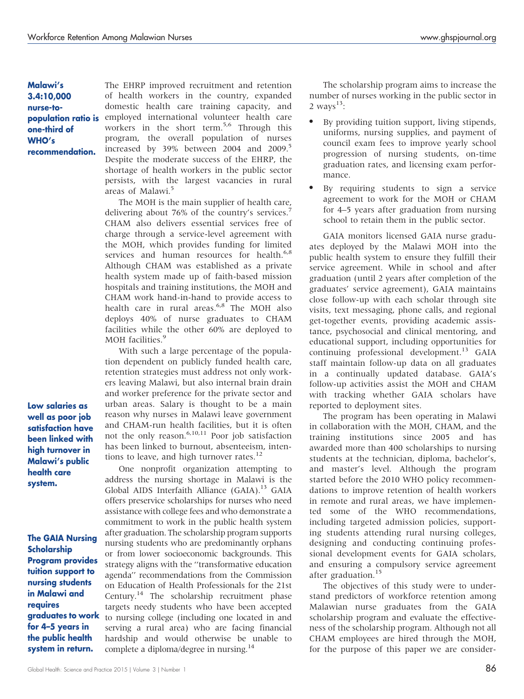#### Malawi's 3.4:10,000 nurse-topopulation ratio is one-third of WHO's recommendation.

The EHRP improved recruitment and retention of health workers in the country, expanded domestic health care training capacity, and employed international volunteer health care workers in the short term.<sup>5,6</sup> Through this program, the overall population of nurses increased by 39% between 2004 and 2009.<sup>5</sup> Despite the moderate success of the EHRP, the shortage of health workers in the public sector persists, with the largest vacancies in rural areas of Malawi.<sup>5</sup>

The MOH is the main supplier of health care, delivering about 76% of the country's services.<sup>7</sup> CHAM also delivers essential services free of charge through a service-level agreement with the MOH, which provides funding for limited services and human resources for health.<sup>6,8</sup> Although CHAM was established as a private health system made up of faith-based mission hospitals and training institutions, the MOH and CHAM work hand-in-hand to provide access to health care in rural areas.<sup>6,8</sup> The MOH also deploys 40% of nurse graduates to CHAM facilities while the other 60% are deployed to MOH facilities.<sup>9</sup>

With such a large percentage of the population dependent on publicly funded health care, retention strategies must address not only workers leaving Malawi, but also internal brain drain and worker preference for the private sector and urban areas. Salary is thought to be a main reason why nurses in Malawi leave government and CHAM-run health facilities, but it is often not the only reason.<sup>6,10,11</sup> Poor job satisfaction has been linked to burnout, absenteeism, intentions to leave, and high turnover rates. $^{12}$ 

One nonprofit organization attempting to address the nursing shortage in Malawi is the Global AIDS Interfaith Alliance (GAIA).<sup>13</sup> GAIA offers preservice scholarships for nurses who need assistance with college fees and who demonstrate a commitment to work in the public health system after graduation. The scholarship program supports nursing students who are predominantly orphans or from lower socioeconomic backgrounds. This strategy aligns with the ''transformative education agenda'' recommendations from the Commission on Education of Health Professionals for the 21st Century.14 The scholarship recruitment phase targets needy students who have been accepted to nursing college (including one located in and serving a rural area) who are facing financial hardship and would otherwise be unable to complete a diploma/degree in nursing.<sup>14</sup>

The scholarship program aims to increase the number of nurses working in the public sector in 2 ways $13$ :

- By providing tuition support, living stipends, uniforms, nursing supplies, and payment of council exam fees to improve yearly school progression of nursing students, on-time graduation rates, and licensing exam performance.
- N By requiring students to sign a service agreement to work for the MOH or CHAM for 4–5 years after graduation from nursing school to retain them in the public sector.

GAIA monitors licensed GAIA nurse graduates deployed by the Malawi MOH into the public health system to ensure they fulfill their service agreement. While in school and after graduation (until 2 years after completion of the graduates' service agreement), GAIA maintains close follow-up with each scholar through site visits, text messaging, phone calls, and regional get-together events, providing academic assistance, psychosocial and clinical mentoring, and educational support, including opportunities for continuing professional development.<sup>13</sup> GAIA staff maintain follow-up data on all graduates in a continually updated database. GAIA's follow-up activities assist the MOH and CHAM with tracking whether GAIA scholars have reported to deployment sites.

The program has been operating in Malawi in collaboration with the MOH, CHAM, and the training institutions since 2005 and has awarded more than 400 scholarships to nursing students at the technician, diploma, bachelor's, and master's level. Although the program started before the 2010 WHO policy recommendations to improve retention of health workers in remote and rural areas, we have implemented some of the WHO recommendations, including targeted admission policies, supporting students attending rural nursing colleges, designing and conducting continuing professional development events for GAIA scholars, and ensuring a compulsory service agreement after graduation.<sup>15</sup>

The objectives of this study were to understand predictors of workforce retention among Malawian nurse graduates from the GAIA scholarship program and evaluate the effectiveness of the scholarship program. Although not all CHAM employees are hired through the MOH, for the purpose of this paper we are consider-

Low salaries as well as poor job satisfaction have been linked with high turnover in Malawi's public health care system.

The GAIA Nursing Scholarship Program provides tuition support to nursing students in Malawi and requires graduates to work for 4–5 years in the public health system in return.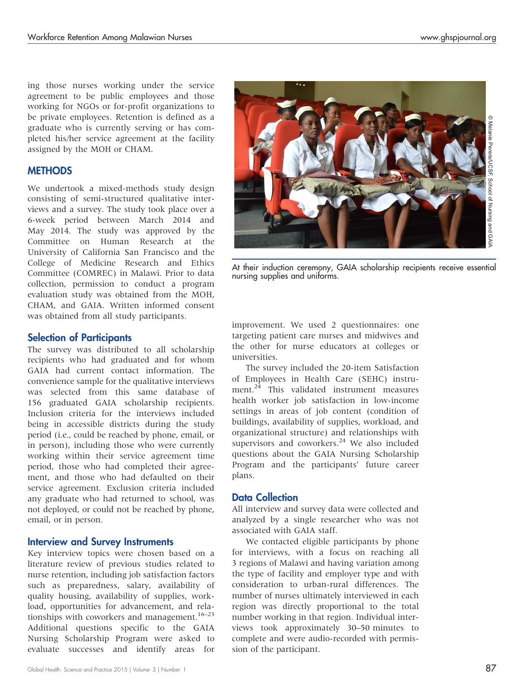ing those nurses working under the service agreement to be public employees and those working for NGOs or for-profit organizations to be private employees. Retention is defined as a graduate who is currently serving or has completed his/her service agreement at the facility assigned by the MOH or CHAM.

#### **METHODS**

We undertook a mixed-methods study design consisting of semi-structured qualitative interviews and a survey. The study took place over a 6-week period between March 2014 and May 2014. The study was approved by the Committee on Human Research at the University of California San Francisco and the College of Medicine Research and Ethics Committee (COMREC) in Malawi. Prior to data collection, permission to conduct a program evaluation study was obtained from the MOH, CHAM, and GAIA. Written informed consent was obtained from all study participants.

#### Selection of Participants

The survey was distributed to all scholarship recipients who had graduated and for whom GAIA had current contact information. The convenience sample for the qualitative interviews was selected from this same database of 156 graduated GAIA scholarship recipients. Inclusion criteria for the interviews included being in accessible districts during the study period (i.e., could be reached by phone, email, or in person), including those who were currently working within their service agreement time period, those who had completed their agreement, and those who had defaulted on their service agreement. Exclusion criteria included any graduate who had returned to school, was not deployed, or could not be reached by phone, email, or in person.

#### Interview and Survey Instruments

Key interview topics were chosen based on a literature review of previous studies related to nurse retention, including job satisfaction factors such as preparedness, salary, availability of quality housing, availability of supplies, workload, opportunities for advancement, and relationships with coworkers and management.<sup>16–23</sup> Additional questions specific to the GAIA Nursing Scholarship Program were asked to evaluate successes and identify areas for



At their induction ceremony, GAIA scholarship recipients receive essential nursing supplies and uniforms.

improvement. We used 2 questionnaires: one targeting patient care nurses and midwives and the other for nurse educators at colleges or universities.

The survey included the 20-item Satisfaction of Employees in Health Care (SEHC) instrument.<sup>24</sup> This validated instrument measures health worker job satisfaction in low-income settings in areas of job content (condition of buildings, availability of supplies, workload, and organizational structure) and relationships with supervisors and coworkers.<sup>24</sup> We also included questions about the GAIA Nursing Scholarship Program and the participants' future career plans.

#### Data Collection

All interview and survey data were collected and analyzed by a single researcher who was not associated with GAIA staff.

We contacted eligible participants by phone for interviews, with a focus on reaching all 3 regions of Malawi and having variation among the type of facility and employer type and with consideration to urban-rural differences. The number of nurses ultimately interviewed in each region was directly proportional to the total number working in that region. Individual interviews took approximately 30–50 minutes to complete and were audio-recorded with permission of the participant.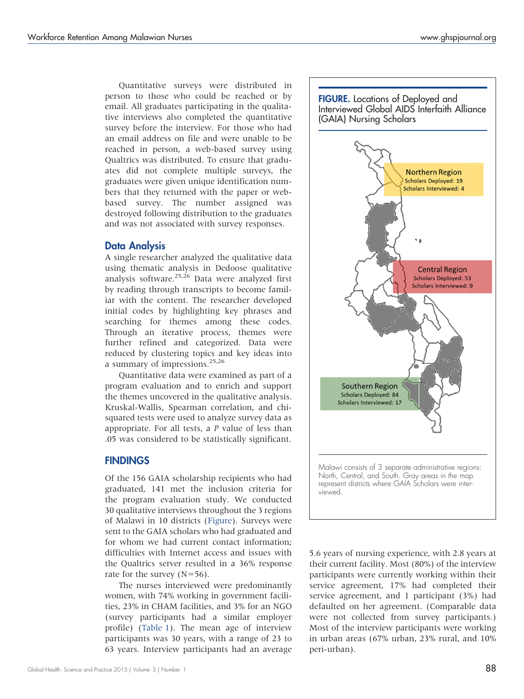Quantitative surveys were distributed in person to those who could be reached or by email. All graduates participating in the qualitative interviews also completed the quantitative survey before the interview. For those who had an email address on file and were unable to be reached in person, a web-based survey using Qualtrics was distributed. To ensure that graduates did not complete multiple surveys, the graduates were given unique identification numbers that they returned with the paper or webbased survey. The number assigned was destroyed following distribution to the graduates and was not associated with survey responses.

#### Data Analysis

A single researcher analyzed the qualitative data using thematic analysis in Dedoose qualitative analysis software.25,26 Data were analyzed first by reading through transcripts to become familiar with the content. The researcher developed initial codes by highlighting key phrases and searching for themes among these codes. Through an iterative process, themes were further refined and categorized. Data were reduced by clustering topics and key ideas into a summary of impressions.<sup>25,26</sup>

Quantitative data were examined as part of a program evaluation and to enrich and support the themes uncovered in the qualitative analysis. Kruskal-Wallis, Spearman correlation, and chisquared tests were used to analyze survey data as appropriate. For all tests, a  $P$  value of less than .05 was considered to be statistically significant.

#### **FINDINGS**

Of the 156 GAIA scholarship recipients who had graduated, 141 met the inclusion criteria for the program evaluation study. We conducted 30 qualitative interviews throughout the 3 regions of Malawi in 10 districts (Figure). Surveys were sent to the GAIA scholars who had graduated and for whom we had current contact information; difficulties with Internet access and issues with the Qualtrics server resulted in a 36% response rate for the survey  $(N=56)$ .

The nurses interviewed were predominantly women, with 74% working in government facilities, 23% in CHAM facilities, and 3% for an NGO (survey participants had a similar employer profile) [\(Table 1\)](#page-4-0). The mean age of interview participants was 30 years, with a range of 23 to 63 years. Interview participants had an average



5.6 years of nursing experience, with 2.8 years at their current facility. Most (80%) of the interview participants were currently working within their service agreement, 17% had completed their service agreement, and 1 participant (3%) had defaulted on her agreement. (Comparable data were not collected from survey participants.) Most of the interview participants were working in urban areas (67% urban, 23% rural, and 10% peri-urban).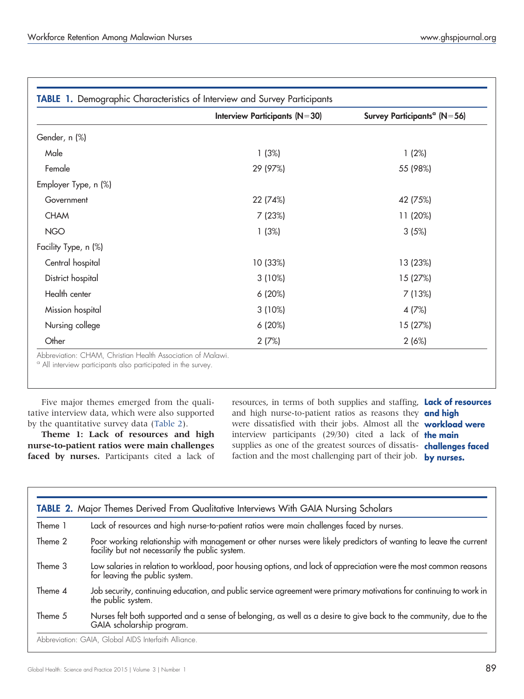<span id="page-4-0"></span>

|                      | Interview Participants $(N=30)$ | Survey Participants <sup>a</sup> (N=56) |  |  |
|----------------------|---------------------------------|-----------------------------------------|--|--|
| Gender, n (%)        |                                 |                                         |  |  |
| Male                 | 1(3%)                           | 1(2%)                                   |  |  |
| Female               | 29 (97%)                        | 55 (98%)                                |  |  |
| Employer Type, n (%) |                                 |                                         |  |  |
| Government           | 22 (74%)                        | 42 (75%)                                |  |  |
| <b>CHAM</b>          | 7(23%)                          | 11 (20%)                                |  |  |
| <b>NGO</b>           | 1(3%)                           | 3(5%)                                   |  |  |
| Facility Type, n (%) |                                 |                                         |  |  |
| Central hospital     | 10 (33%)                        | 13 (23%)                                |  |  |
| District hospital    | 3(10%)                          | 15 (27%)                                |  |  |
| Health center        | 6(20%)                          | 7(13%)                                  |  |  |
| Mission hospital     | 3(10%)                          | 4 (7%)                                  |  |  |
| Nursing college      | 6(20%)                          | 15 (27%)                                |  |  |
| Other                | 2(7%)                           | 2(6%)                                   |  |  |

Abbreviation: CHAM, Christian Health Association of Malawi.

<sup>a</sup> All interview participants also participated in the survey.

Five major themes emerged from the qualitative interview data, which were also supported by the quantitative survey data (Table 2).

Theme 1: Lack of resources and high nurse-to-patient ratios were main challenges faced by nurses. Participants cited a lack of resources, in terms of both supplies and staffing, Lack of resources and high nurse-to-patient ratios as reasons they and high were dissatisfied with their jobs. Almost all the **workload were** interview participants (29/30) cited a lack of **the main** supplies as one of the greatest sources of dissatis- challenges faced faction and the most challenging part of their job. **by nurses.** 

| Theme 1 | Lack of resources and high nurse-to-patient ratios were main challenges faced by nurses.                                                                            |
|---------|---------------------------------------------------------------------------------------------------------------------------------------------------------------------|
| Theme 2 | Poor working relationship with management or other nurses were likely predictors of wanting to leave the current<br>facility but not necessarily the public system. |
| Theme 3 | Low salaries in relation to workload, poor housing options, and lack of appreciation were the most common reasons<br>for leaving the public system.                 |
| Theme 4 | Job security, continuing education, and public service agreement were primary motivations for continuing to work in<br>the public system.                           |
| Theme 5 | Nurses felt both supported and a sense of belonging, as well as a desire to give back to the community, due to the<br>GAIA scholarship program.                     |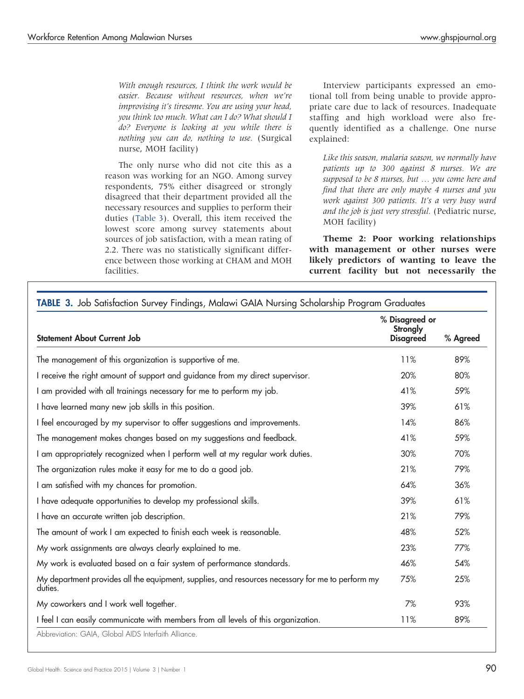<span id="page-5-0"></span>With enough resources, I think the work would be easier. Because without resources, when we're improvising it's tiresome. You are using your head, you think too much. What can I do? What should I do? Everyone is looking at you while there is nothing you can do, nothing to use. (Surgical nurse, MOH facility)

The only nurse who did not cite this as a reason was working for an NGO. Among survey respondents, 75% either disagreed or strongly disagreed that their department provided all the necessary resources and supplies to perform their duties (Table 3). Overall, this item received the lowest score among survey statements about sources of job satisfaction, with a mean rating of 2.2. There was no statistically significant difference between those working at CHAM and MOH facilities.

Interview participants expressed an emotional toll from being unable to provide appropriate care due to lack of resources. Inadequate staffing and high workload were also frequently identified as a challenge. One nurse explained:

Like this season, malaria season, we normally have patients up to 300 against 8 nurses. We are supposed to be 8 nurses, but … you come here and find that there are only maybe 4 nurses and you work against 300 patients. It's a very busy ward and the job is just very stressful. (Pediatric nurse, MOH facility)

Theme 2: Poor working relationships with management or other nurses were likely predictors of wanting to leave the current facility but not necessarily the

| <b>Statement About Current Job</b>                                                                          | % Disagreed or<br><b>Strongly</b><br><b>Disagreed</b> | % Agreed |
|-------------------------------------------------------------------------------------------------------------|-------------------------------------------------------|----------|
| The management of this organization is supportive of me.                                                    | 11%                                                   | 89%      |
| I receive the right amount of support and guidance from my direct supervisor.                               | 20%                                                   | 80%      |
| I am provided with all trainings necessary for me to perform my job.                                        | 41%                                                   | 59%      |
| I have learned many new job skills in this position.                                                        | 39%                                                   | 61%      |
| I feel encouraged by my supervisor to offer suggestions and improvements.                                   | 14%                                                   | 86%      |
| The management makes changes based on my suggestions and feedback.                                          | 41%                                                   | 59%      |
| I am appropriately recognized when I perform well at my regular work duties.                                | 30%                                                   | 70%      |
| The organization rules make it easy for me to do a good job.                                                | 21%                                                   | 79%      |
| I am satisfied with my chances for promotion.                                                               | 64%                                                   | 36%      |
| I have adequate opportunities to develop my professional skills.                                            | 39%                                                   | 61%      |
| I have an accurate written job description.                                                                 | 21%                                                   | 79%      |
| The amount of work I am expected to finish each week is reasonable.                                         | 48%                                                   | 52%      |
| My work assignments are always clearly explained to me.                                                     | 23%                                                   | 77%      |
| My work is evaluated based on a fair system of performance standards.                                       | 46%                                                   | 54%      |
| My department provides all the equipment, supplies, and resources necessary for me to perform my<br>duties. | 75%                                                   | 25%      |
| My coworkers and I work well together.                                                                      | 7%                                                    | 93%      |
| I feel I can easily communicate with members from all levels of this organization.                          | 11%                                                   | 89%      |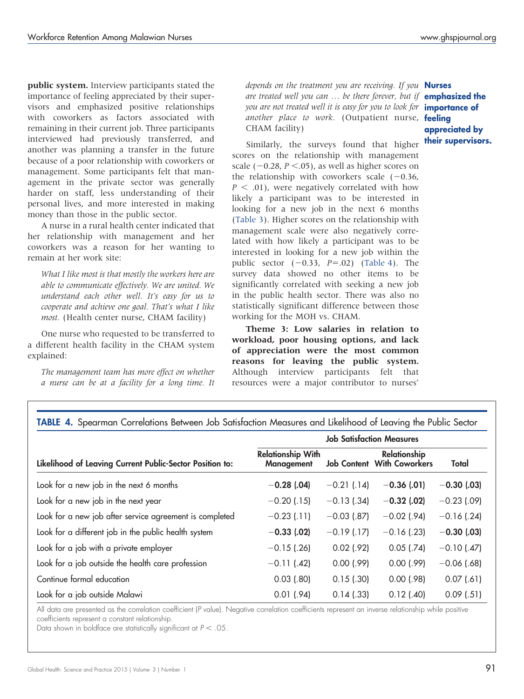their supervisors.

<span id="page-6-0"></span>public system. Interview participants stated the importance of feeling appreciated by their supervisors and emphasized positive relationships with coworkers as factors associated with remaining in their current job. Three participants interviewed had previously transferred, and another was planning a transfer in the future because of a poor relationship with coworkers or management. Some participants felt that management in the private sector was generally harder on staff, less understanding of their personal lives, and more interested in making money than those in the public sector.

A nurse in a rural health center indicated that her relationship with management and her coworkers was a reason for her wanting to remain at her work site:

What I like most is that mostly the workers here are able to communicate effectively. We are united. We understand each other well. It's easy for us to cooperate and achieve one goal. That's what I like most. (Health center nurse, CHAM facility)

One nurse who requested to be transferred to a different health facility in the CHAM system explained:

The management team has more effect on whether a nurse can be at a facility for a long time. It

depends on the treatment you are receiving. If you **Nurses** are treated well you can ... be there forever, but if emphasized the you are not treated well it is easy for you to look for  $\,$  importance of another place to work. (Outpatient nurse, feeling CHAM facility) appreciated by

Similarly, the surveys found that higher scores on the relationship with management scale ( $-0.28$ ,  $P < .05$ ), as well as higher scores on the relationship with coworkers scale  $(-0.36,$  $P < .01$ ), were negatively correlated with how likely a participant was to be interested in looking for a new job in the next 6 months ([Table 3](#page-5-0)). Higher scores on the relationship with management scale were also negatively correlated with how likely a participant was to be interested in looking for a new job within the public sector  $(-0.33, P=.02)$  (Table 4). The survey data showed no other items to be significantly correlated with seeking a new job in the public health sector. There was also no statistically significant difference between those working for the MOH vs. CHAM.

Theme 3: Low salaries in relation to workload, poor housing options, and lack of appreciation were the most common reasons for leaving the public system. Although interview participants felt that resources were a major contributor to nurses'

|  | TABLE 4. Spearman Correlations Between Job Satisfaction Measures and Likelihood of Leaving the Public Sector |  |  |  |  |  |
|--|--------------------------------------------------------------------------------------------------------------|--|--|--|--|--|
|  |                                                                                                              |  |  |  |  |  |

|                                                          |                                               |               | <b>Job Satisfaction Measures</b>                  |               |
|----------------------------------------------------------|-----------------------------------------------|---------------|---------------------------------------------------|---------------|
| Likelihood of Leaving Current Public-Sector Position to: | <b>Relationship With</b><br><b>Management</b> |               | Relationship<br><b>Job Content With Coworkers</b> | Total         |
| Look for a new job in the next 6 months                  | $-0.28$ (.04)                                 | $-0.21$ (.14) | $-0.36$ (.01)                                     | $-0.30$ (.03) |
| Look for a new job in the next year                      | $-0.20$ (.15)                                 | $-0.13$ (.34) | $-0.32$ (.02)                                     | $-0.23$ (.09) |
| Look for a new job after service agreement is completed  | $-0.23$ (.11)                                 | $-0.03$ (.87) | $-0.02$ (.94)                                     | $-0.16$ (.24) |
| Look for a different job in the public health system     | $-0.33$ (.02)                                 | $-0.19$ (.17) | $-0.16$ (.23)                                     | $-0.30$ (.03) |
| Look for a job with a private employer                   | $-0.15$ (.26)                                 | $0.02$ (.92)  | $0.05$ (.74)                                      | $-0.10$ (.47) |
| Look for a job outside the health care profession        | $-0.11$ (.42)                                 | $0.00$ (.99)  | $0.00$ (.99)                                      | $-0.06$ (.68) |
| Continue formal education                                | $0.03$ $(.80)$                                | $0.15$ (.30)  | $0.00$ (.98)                                      | $0.07$ (.61)  |
| Look for a job outside Malawi                            | $0.01$ (.94)                                  | $0.14$ (.33)  | $0.12$ (.40)                                      | $0.09$ (.51)  |

All data are presented as the correlation coefficient (P value). Negative correlation coefficients represent an inverse relationship while positive coefficients represent a constant relationship.

Data shown in boldface are statistically significant at  $P < .05$ .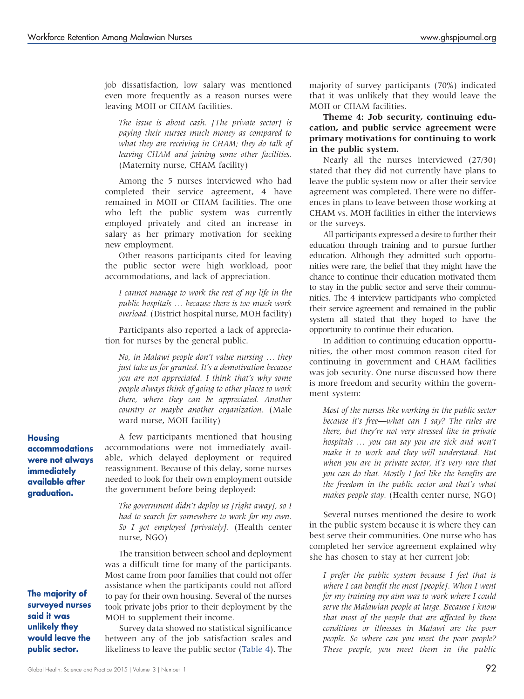job dissatisfaction, low salary was mentioned even more frequently as a reason nurses were leaving MOH or CHAM facilities.

The issue is about cash. [The private sector] is paying their nurses much money as compared to what they are receiving in CHAM; they do talk of leaving CHAM and joining some other facilities. (Maternity nurse, CHAM facility)

Among the 5 nurses interviewed who had completed their service agreement, 4 have remained in MOH or CHAM facilities. The one who left the public system was currently employed privately and cited an increase in salary as her primary motivation for seeking new employment.

Other reasons participants cited for leaving the public sector were high workload, poor accommodations, and lack of appreciation.

I cannot manage to work the rest of my life in the public hospitals … because there is too much work overload. (District hospital nurse, MOH facility)

Participants also reported a lack of appreciation for nurses by the general public.

No, in Malawi people don't value nursing … they just take us for granted. It's a demotivation because you are not appreciated. I think that's why some people always think of going to other places to work there, where they can be appreciated. Another country or maybe another organization. (Male ward nurse, MOH facility)

A few participants mentioned that housing accommodations were not immediately available, which delayed deployment or required reassignment. Because of this delay, some nurses needed to look for their own employment outside the government before being deployed:

The government didn't deploy us [right away], so I had to search for somewhere to work for my own. So I got employed [privately]. (Health center nurse, NGO)

The transition between school and deployment was a difficult time for many of the participants. Most came from poor families that could not offer assistance when the participants could not afford to pay for their own housing. Several of the nurses took private jobs prior to their deployment by the MOH to supplement their income.

Survey data showed no statistical significance between any of the job satisfaction scales and likeliness to leave the public sector ([Table 4\)](#page-6-0). The majority of survey participants (70%) indicated that it was unlikely that they would leave the MOH or CHAM facilities.

Theme 4: Job security, continuing education, and public service agreement were primary motivations for continuing to work in the public system.

Nearly all the nurses interviewed (27/30) stated that they did not currently have plans to leave the public system now or after their service agreement was completed. There were no differences in plans to leave between those working at CHAM vs. MOH facilities in either the interviews or the surveys.

All participants expressed a desire to further their education through training and to pursue further education. Although they admitted such opportunities were rare, the belief that they might have the chance to continue their education motivated them to stay in the public sector and serve their communities. The 4 interview participants who completed their service agreement and remained in the public system all stated that they hoped to have the opportunity to continue their education.

In addition to continuing education opportunities, the other most common reason cited for continuing in government and CHAM facilities was job security. One nurse discussed how there is more freedom and security within the government system:

Most of the nurses like working in the public sector because it's free—what can I say? The rules are there, but they're not very stressed like in private hospitals … you can say you are sick and won't make it to work and they will understand. But when you are in private sector, it's very rare that you can do that. Mostly I feel like the benefits are the freedom in the public sector and that's what makes people stay. (Health center nurse, NGO)

Several nurses mentioned the desire to work in the public system because it is where they can best serve their communities. One nurse who has completed her service agreement explained why she has chosen to stay at her current job:

I prefer the public system because I feel that is where I can benefit the most [people]. When I went for my training my aim was to work where I could serve the Malawian people at large. Because I know that most of the people that are affected by these conditions or illnesses in Malawi are the poor people. So where can you meet the poor people? These people, you meet them in the public

Housing accommodations were not always immediately available after graduation.

#### The majority of surveyed nurses said it was unlikely they would leave the public sector.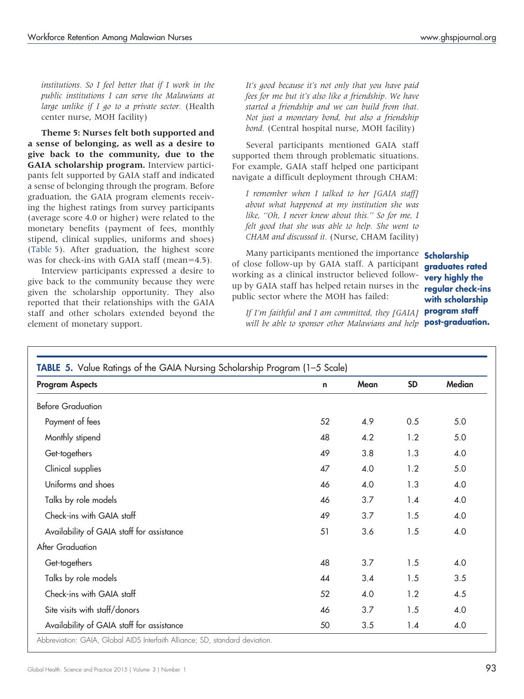institutions. So I feel better that if I work in the public institutions I can serve the Malawians at large unlike if I go to a private sector. (Health center nurse, MOH facility)

Theme 5: Nurses felt both supported and a sense of belonging, as well as a desire to give back to the community, due to the GAIA scholarship program. Interview participants felt supported by GAIA staff and indicated a sense of belonging through the program. Before graduation, the GAIA program elements receiving the highest ratings from survey participants (average score 4.0 or higher) were related to the monetary benefits (payment of fees, monthly stipend, clinical supplies, uniforms and shoes) (Table 5). After graduation, the highest score was for check-ins with GAIA staff (mean=4.5).

Interview participants expressed a desire to give back to the community because they were given the scholarship opportunity. They also reported that their relationships with the GAIA staff and other scholars extended beyond the element of monetary support.

It's good because it's not only that you have paid fees for me but it's also like a friendship. We have started a friendship and we can build from that. Not just a monetary bond, but also a friendship bond. (Central hospital nurse, MOH facility)

Several participants mentioned GAIA staff supported them through problematic situations. For example, GAIA staff helped one participant navigate a difficult deployment through CHAM:

I remember when I talked to her [GAIA staff] about what happened at my institution she was like, ''Oh, I never knew about this.'' So for me, I felt good that she was able to help. She went to CHAM and discussed it. (Nurse, CHAM facility)

Many participants mentioned the importance **Scholarship** of close follow-up by GAIA staff. A participant working as a clinical instructor believed followup by GAIA staff has helped retain nurses in the public sector where the MOH has failed:

graduates rated very highly the regular check-ins with scholarship program staff

If I'm faithful and I am committed, they [GAIA] will be able to sponsor other Malawians and help **post-graduation.** 

| <b>Program Aspects</b>                    | n  | Mean | <b>SD</b> | Median |
|-------------------------------------------|----|------|-----------|--------|
| <b>Before Graduation</b>                  |    |      |           |        |
| Payment of fees                           | 52 | 4.9  | 0.5       | 5.0    |
| Monthly stipend                           | 48 | 4.2  | 1.2       | 5.0    |
| Get-togethers                             | 49 | 3.8  | 1.3       | 4.0    |
| Clinical supplies                         | 47 | 4.0  | 1.2       | 5.0    |
| Uniforms and shoes                        | 46 | 4.0  | 1.3       | 4.0    |
| Talks by role models                      | 46 | 3.7  | 1.4       | 4.0    |
| Check-ins with GAIA staff                 | 49 | 3.7  | 1.5       | 4.0    |
| Availability of GAIA staff for assistance | 51 | 3.6  | 1.5       | 4.0    |
| After Graduation                          |    |      |           |        |
| Get-togethers                             | 48 | 3.7  | 1.5       | 4.0    |
| Talks by role models                      | 44 | 3.4  | 1.5       | 3.5    |
| Check-ins with GAIA staff                 | 52 | 4.0  | 1.2       | 4.5    |
| Site visits with staff/donors             | 46 | 3.7  | 1.5       | 4.0    |
| Availability of GAIA staff for assistance | 50 | 3.5  | 1.4       | 4.0    |

Abbreviation: GAIA, Global AIDS Interfaith Alliance; SD, standard deviation.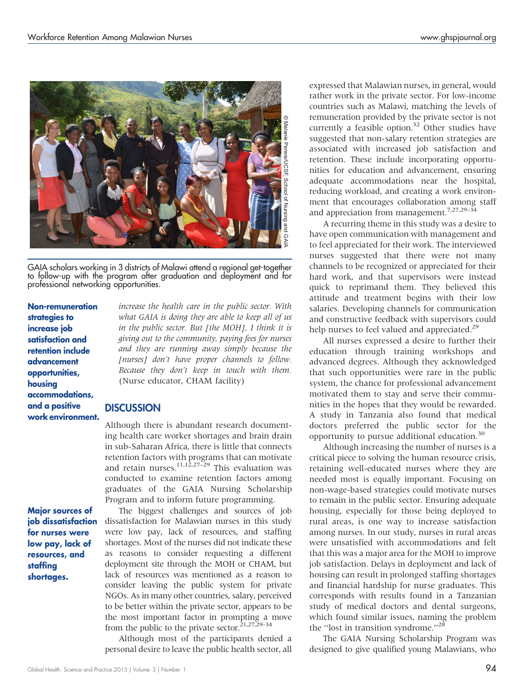

GAIA scholars working in 3 districts of Malawi attend a regional get-together to follow-up with the program after graduation and deployment and for professional networking opportunities.

Non-remuneration strategies to increase job satisfaction and retention include advancement opportunities, housing accommodations, and a positive work environment.

increase the health care in the public sector. With what GAIA is doing they are able to keep all of us in the public sector. But [the MOH], I think it is giving out to the community, paying fees for nurses and they are running away simply because the [nurses] don't have proper channels to follow. Because they don't keep in touch with them. (Nurse educator, CHAM facility)

#### **DISCUSSION**

Although there is abundant research documenting health care worker shortages and brain drain in sub-Saharan Africa, there is little that connects retention factors with programs that can motivate and retain nurses.<sup>11,12,27–29</sup> This evaluation was conducted to examine retention factors among graduates of the GAIA Nursing Scholarship Program and to inform future programming.

Major sources of job dissatisfaction for nurses were low pay, lack of resources, and staffing shortages.

The biggest challenges and sources of job dissatisfaction for Malawian nurses in this study were low pay, lack of resources, and staffing shortages. Most of the nurses did not indicate these as reasons to consider requesting a different deployment site through the MOH or CHAM, but lack of resources was mentioned as a reason to consider leaving the public system for private NGOs. As in many other countries, salary, perceived to be better within the private sector, appears to be the most important factor in prompting a move from the public to the private sector.<sup>21,27,29–34</sup>

Although most of the participants denied a personal desire to leave the public health sector, all expressed that Malawian nurses, in general, would rather work in the private sector. For low-income countries such as Malawi, matching the levels of remuneration provided by the private sector is not currently a feasible option.<sup>32</sup> Other studies have suggested that non-salary retention strategies are associated with increased job satisfaction and retention. These include incorporating opportunities for education and advancement, ensuring adequate accommodations near the hospital, reducing workload, and creating a work environment that encourages collaboration among staff and appreciation from management.<sup>7,27,29–34</sup>

A recurring theme in this study was a desire to have open communication with management and to feel appreciated for their work. The interviewed nurses suggested that there were not many channels to be recognized or appreciated for their hard work, and that supervisors were instead quick to reprimand them. They believed this attitude and treatment begins with their low salaries. Developing channels for communication and constructive feedback with supervisors could help nurses to feel valued and appreciated.<sup>29</sup>

All nurses expressed a desire to further their education through training workshops and advanced degrees. Although they acknowledged that such opportunities were rare in the public system, the chance for professional advancement motivated them to stay and serve their communities in the hopes that they would be rewarded. A study in Tanzania also found that medical doctors preferred the public sector for the opportunity to pursue additional education.<sup>30</sup>

Although increasing the number of nurses is a critical piece to solving the human resource crisis, retaining well-educated nurses where they are needed most is equally important. Focusing on non-wage-based strategies could motivate nurses to remain in the public sector. Ensuring adequate housing, especially for those being deployed to rural areas, is one way to increase satisfaction among nurses. In our study, nurses in rural areas were unsatisfied with accommodations and felt that this was a major area for the MOH to improve job satisfaction. Delays in deployment and lack of housing can result in prolonged staffing shortages and financial hardship for nurse graduates. This corresponds with results found in a Tanzanian study of medical doctors and dental surgeons, which found similar issues, naming the problem the ''lost in transition syndrome.''28

The GAIA Nursing Scholarship Program was designed to give qualified young Malawians, who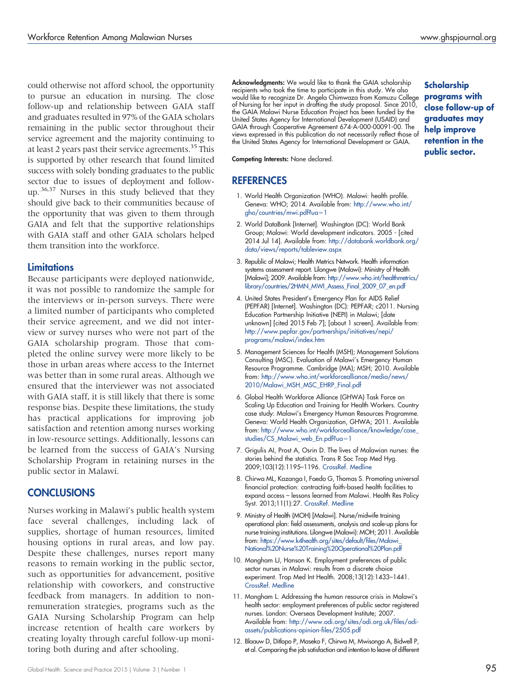could otherwise not afford school, the opportunity to pursue an education in nursing. The close follow-up and relationship between GAIA staff and graduates resulted in 97% of the GAIA scholars remaining in the public sector throughout their service agreement and the majority continuing to at least 2 years past their service agreements.<sup>35</sup> This is supported by other research that found limited success with solely bonding graduates to the public sector due to issues of deployment and followup.<sup>36,37</sup> Nurses in this study believed that they should give back to their communities because of the opportunity that was given to them through GAIA and felt that the supportive relationships with GAIA staff and other GAIA scholars helped them transition into the workforce.

#### **Limitations**

Because participants were deployed nationwide, it was not possible to randomize the sample for the interviews or in-person surveys. There were a limited number of participants who completed their service agreement, and we did not interview or survey nurses who were not part of the GAIA scholarship program. Those that completed the online survey were more likely to be those in urban areas where access to the Internet was better than in some rural areas. Although we ensured that the interviewer was not associated with GAIA staff, it is still likely that there is some response bias. Despite these limitations, the study has practical applications for improving job satisfaction and retention among nurses working in low-resource settings. Additionally, lessons can be learned from the success of GAIA's Nursing Scholarship Program in retaining nurses in the public sector in Malawi.

#### **CONCLUSIONS**

Nurses working in Malawi's public health system face several challenges, including lack of supplies, shortage of human resources, limited housing options in rural areas, and low pay. Despite these challenges, nurses report many reasons to remain working in the public sector, such as opportunities for advancement, positive relationship with coworkers, and constructive feedback from managers. In addition to nonremuneration strategies, programs such as the GAIA Nursing Scholarship Program can help increase retention of health care workers by creating loyalty through careful follow-up monitoring both during and after schooling.

Acknowledgments: We would like to thank the GAIA scholarship recipients who took the time to participate in this study. We also would like to recognize Dr. Angela Chimwaza from Kamuzu College of Nursing for her input in drafting the study proposal. Since 2010, the GAIA Malawi Nurse Education Project has been funded by the United States Agency for International Development (USAID) and GAIA through Cooperative Agreement 674-A-000-00091-00. The views expressed in this publication do not necessarily reflect those of the United States Agency for International Development or GAIA.

Competing Interests: None declared.

#### **REFERENCES**

- 1. World Health Organization (WHO). Malawi: health profile. Geneva: WHO; 2014. Available from: [http://www.who.int/](http://www.who.int/gho/countries/mwi.pdf?ua=1) [gho/countries/mwi.pdf?ua](http://www.who.int/gho/countries/mwi.pdf?ua=1)=1
- 2. World DataBank [Internet]. Washington (DC): World Bank Group; Malawi: World development indicators. 2005 - [cited 2014 Jul 14]. Available from: [http://databank.worldbank.org/](http://databank.worldbank.org/data/views/reports/tableview.aspx) [data/views/reports/tableview.aspx](http://databank.worldbank.org/data/views/reports/tableview.aspx)
- 3. Republic of Malawi; Health Metrics Network. Health information systems assessment report. Lilongwe (Malawi): Ministry of Health [Malawi]; 2009. Available from: [http://www.who.int/healthmetrics/](http://www.who.int/healthmetrics/library/countries/2HMN_MWI_Assess_Final_2009_07_en.pdf) [library/countries/2HMN\\_MWI\\_Assess\\_Final\\_2009\\_07\\_en.pdf](http://www.who.int/healthmetrics/library/countries/2HMN_MWI_Assess_Final_2009_07_en.pdf)
- 4. United States President's Emergency Plan for AIDS Relief (PEPFAR) [Internet]. Washington (DC): PEPFAR; c2011. Nursing Education Partnership Initiative (NEPI) in Malawi; [date unknown] [cited 2015 Feb 7]; [about 1 screen]. Available from: [http://www.pepfar.gov/partnerships/initiatives/nepi/](http://www.pepfar.gov/partnerships/initiatives/nepi/programs/malawi/index.htm) [programs/malawi/index.htm](http://www.pepfar.gov/partnerships/initiatives/nepi/programs/malawi/index.htm)
- 5. Management Sciences for Health (MSH); Management Solutions Consulting (MSC). Evaluation of Malawi's Emergency Human Resource Programme. Cambridge (MA); MSH; 2010. Available from: [http://www.who.int/workforcealliance/media/news/](http://www.who.int/workforcealliance/media/news/2010/Malawi_MSH_MSC_EHRP_Final.pdf) [2010/Malawi\\_MSH\\_MSC\\_EHRP\\_Final.pdf](http://www.who.int/workforcealliance/media/news/2010/Malawi_MSH_MSC_EHRP_Final.pdf)
- 6. Global Health Workforce Alliance (GHWA) Task Force on Scaling Up Education and Training for Health Workers. Country case study: Malawi's Emergency Human Resources Programme. Geneva: World Health Organization, GHWA; 2011. Available from: [http://www.who.int/workforcealliance/knowledge/case\\_](http://www.who.int/workforcealliance/knowledge/case_studies/CS_Malawi_web_En.pdf?ua=1) [studies/CS\\_Malawi\\_web\\_En.pdf?ua](http://www.who.int/workforcealliance/knowledge/case_studies/CS_Malawi_web_En.pdf?ua=1)=1
- 7. Grigulis AI, Prost A, Osrin D. The lives of Malawian nurses: the stories behind the statistics. Trans R Soc Trop Med Hyg. 2009;103(12):1195–1196. [CrossRef](http://dx.doi.org/10.1016/j.trstmh.2009.03.005). [Medline](http://www.ncbi.nlm.nih.gov/pubmed/19349055)
- 8. Chirwa ML, Kazanga I, Faedo G, Thomas S. Promoting universal financial protection: contracting faith-based health facilities to expand access – lessons learned from Malawi. Health Res Policy Syst. 2013;11(1):27. [CrossRef.](http://dx.doi.org/10.1186/1478-4505-11-27) [Medline](http://www.ncbi.nlm.nih.gov/pubmed/23958156)
- 9. Ministry of Health (MOH) [Malawi]. Nurse/midwife training operational plan: field assessments, analysis and scale-up plans for nurse training institutions. Lilongwe (Malawi): MOH; 2011. Available from: [https://www.k4health.org/sites/default/files/Malawi\\_](https://www.k4health.org/sites/default/files/Malawi_National%20Nurse%20Training%20Operational%20Plan.pdf) [National%20Nurse%20Training%20Operational%20Plan.pdf](https://www.k4health.org/sites/default/files/Malawi_National%20Nurse%20Training%20Operational%20Plan.pdf)
- 10. Mangham LJ, Hanson K. Employment preferences of public sector nurses in Malawi: results from a discrete choice experiment. Trop Med Int Health. 2008;13(12):1433–1441. [CrossRef](http://dx.doi.org/10.1111/j.1365-3156.2008.02167.x). [Medline](http://www.ncbi.nlm.nih.gov/pubmed/18983274)
- 11. Mangham L. Addressing the human resource crisis in Malawi's health sector: employment preferences of public sector registered nurses. London: Overseas Development Institute; 2007. Available from: [http://www.odi.org/sites/odi.org.uk/files/odi](http://www.odi.org/sites/odi.org.uk/files/odi-assets/publications-opinion-files/2505.pdf)[assets/publications-opinion-files/2505.pdf](http://www.odi.org/sites/odi.org.uk/files/odi-assets/publications-opinion-files/2505.pdf)
- 12. Blaauw D, Ditlopo P, Maseko F, Chirwa M, Mwisongo A, Bidwell P, et al. Comparing the job satisfaction and intention to leave of different

Scholarship programs with close follow-up of graduates may help improve retention in the public sector.